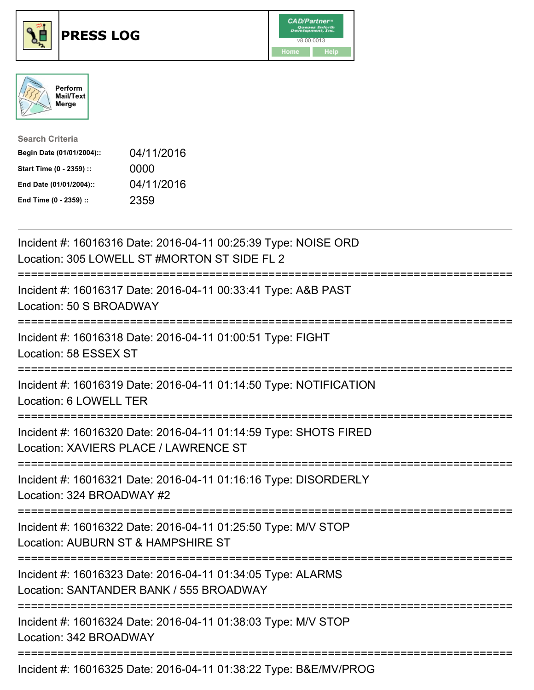





| <b>Search Criteria</b>    |            |
|---------------------------|------------|
| Begin Date (01/01/2004):: | 04/11/2016 |
| Start Time (0 - 2359) ::  | 0000       |
| End Date (01/01/2004)::   | 04/11/2016 |
| End Time (0 - 2359) ::    | 2359       |

| Incident #: 16016316 Date: 2016-04-11 00:25:39 Type: NOISE ORD<br>Location: 305 LOWELL ST #MORTON ST SIDE FL 2                               |
|----------------------------------------------------------------------------------------------------------------------------------------------|
| Incident #: 16016317 Date: 2016-04-11 00:33:41 Type: A&B PAST<br>Location: 50 S BROADWAY                                                     |
| Incident #: 16016318 Date: 2016-04-11 01:00:51 Type: FIGHT<br>Location: 58 ESSEX ST                                                          |
| Incident #: 16016319 Date: 2016-04-11 01:14:50 Type: NOTIFICATION<br>Location: 6 LOWELL TER<br>===================                           |
| Incident #: 16016320 Date: 2016-04-11 01:14:59 Type: SHOTS FIRED<br>Location: XAVIERS PLACE / LAWRENCE ST<br>=============================== |
| Incident #: 16016321 Date: 2016-04-11 01:16:16 Type: DISORDERLY<br>Location: 324 BROADWAY #2                                                 |
| Incident #: 16016322 Date: 2016-04-11 01:25:50 Type: M/V STOP<br>Location: AUBURN ST & HAMPSHIRE ST<br>============================          |
| Incident #: 16016323 Date: 2016-04-11 01:34:05 Type: ALARMS<br>Location: SANTANDER BANK / 555 BROADWAY                                       |
| Incident #: 16016324 Date: 2016-04-11 01:38:03 Type: M/V STOP<br>Location: 342 BROADWAY                                                      |
| Incident #: 16016325 Date: 2016-04-11 01:38:22 Type: B&E/MV/PROG                                                                             |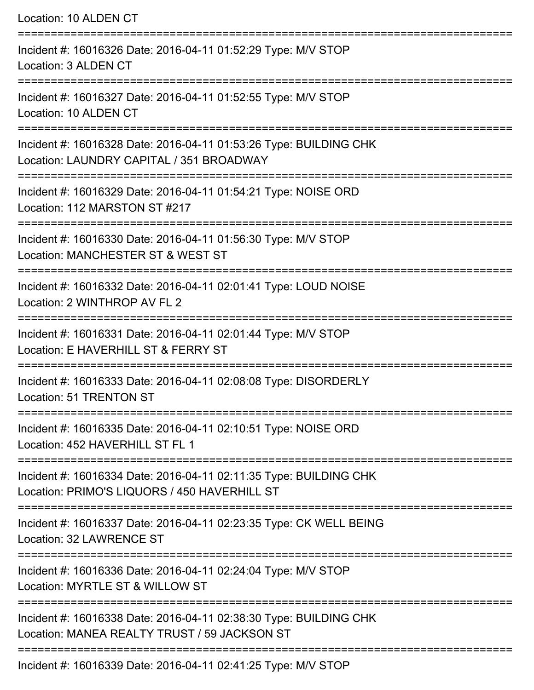| Location: 10 ALDEN CT                                                                                                |
|----------------------------------------------------------------------------------------------------------------------|
| Incident #: 16016326 Date: 2016-04-11 01:52:29 Type: M/V STOP<br>Location: 3 ALDEN CT                                |
| Incident #: 16016327 Date: 2016-04-11 01:52:55 Type: M/V STOP<br>Location: 10 ALDEN CT                               |
| Incident #: 16016328 Date: 2016-04-11 01:53:26 Type: BUILDING CHK<br>Location: LAUNDRY CAPITAL / 351 BROADWAY        |
| Incident #: 16016329 Date: 2016-04-11 01:54:21 Type: NOISE ORD<br>Location: 112 MARSTON ST #217                      |
| Incident #: 16016330 Date: 2016-04-11 01:56:30 Type: M/V STOP<br>Location: MANCHESTER ST & WEST ST                   |
| Incident #: 16016332 Date: 2016-04-11 02:01:41 Type: LOUD NOISE<br>Location: 2 WINTHROP AV FL 2                      |
| Incident #: 16016331 Date: 2016-04-11 02:01:44 Type: M/V STOP<br>Location: E HAVERHILL ST & FERRY ST                 |
| ----------------------<br>Incident #: 16016333 Date: 2016-04-11 02:08:08 Type: DISORDERLY<br>Location: 51 TRENTON ST |
| Incident #: 16016335 Date: 2016-04-11 02:10:51 Type: NOISE ORD<br>Location: 452 HAVERHILL ST FL 1                    |
| Incident #: 16016334 Date: 2016-04-11 02:11:35 Type: BUILDING CHK<br>Location: PRIMO'S LIQUORS / 450 HAVERHILL ST    |
| Incident #: 16016337 Date: 2016-04-11 02:23:35 Type: CK WELL BEING<br>Location: 32 LAWRENCE ST                       |
| Incident #: 16016336 Date: 2016-04-11 02:24:04 Type: M/V STOP<br>Location: MYRTLE ST & WILLOW ST                     |
| Incident #: 16016338 Date: 2016-04-11 02:38:30 Type: BUILDING CHK<br>Location: MANEA REALTY TRUST / 59 JACKSON ST    |
| Incident #: 16016339 Date: 2016-04-11 02:41:25 Type: M/V STOP                                                        |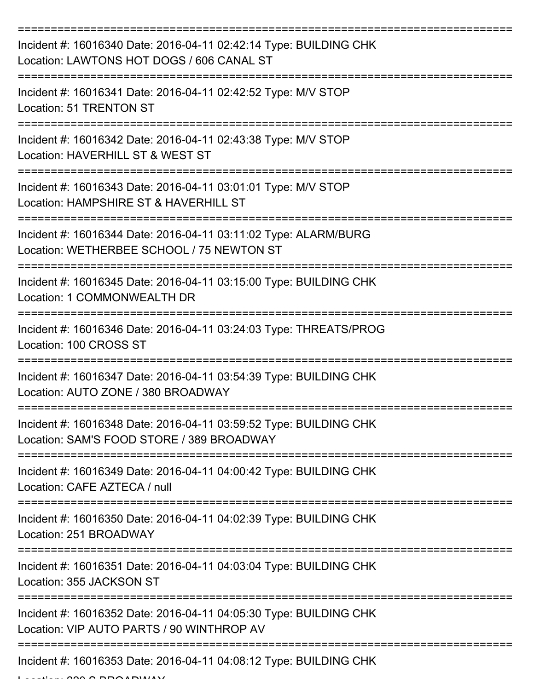| Incident #: 16016340 Date: 2016-04-11 02:42:14 Type: BUILDING CHK<br>Location: LAWTONS HOT DOGS / 606 CANAL ST |
|----------------------------------------------------------------------------------------------------------------|
| Incident #: 16016341 Date: 2016-04-11 02:42:52 Type: M/V STOP<br>Location: 51 TRENTON ST                       |
| Incident #: 16016342 Date: 2016-04-11 02:43:38 Type: M/V STOP<br>Location: HAVERHILL ST & WEST ST              |
| Incident #: 16016343 Date: 2016-04-11 03:01:01 Type: M/V STOP<br>Location: HAMPSHIRE ST & HAVERHILL ST         |
| Incident #: 16016344 Date: 2016-04-11 03:11:02 Type: ALARM/BURG<br>Location: WETHERBEE SCHOOL / 75 NEWTON ST   |
| Incident #: 16016345 Date: 2016-04-11 03:15:00 Type: BUILDING CHK<br>Location: 1 COMMONWEALTH DR               |
| Incident #: 16016346 Date: 2016-04-11 03:24:03 Type: THREATS/PROG<br>Location: 100 CROSS ST                    |
| Incident #: 16016347 Date: 2016-04-11 03:54:39 Type: BUILDING CHK<br>Location: AUTO ZONE / 380 BROADWAY        |
| Incident #: 16016348 Date: 2016-04-11 03:59:52 Type: BUILDING CHK<br>Location: SAM'S FOOD STORE / 389 BROADWAY |
| Incident #: 16016349 Date: 2016-04-11 04:00:42 Type: BUILDING CHK<br>Location: CAFE AZTECA / null              |
| Incident #: 16016350 Date: 2016-04-11 04:02:39 Type: BUILDING CHK<br>Location: 251 BROADWAY                    |
| Incident #: 16016351 Date: 2016-04-11 04:03:04 Type: BUILDING CHK<br>Location: 355 JACKSON ST                  |
| Incident #: 16016352 Date: 2016-04-11 04:05:30 Type: BUILDING CHK<br>Location: VIP AUTO PARTS / 90 WINTHROP AV |
| Incident #: 16016353 Date: 2016-04-11 04:08:12 Type: BUILDING CHK                                              |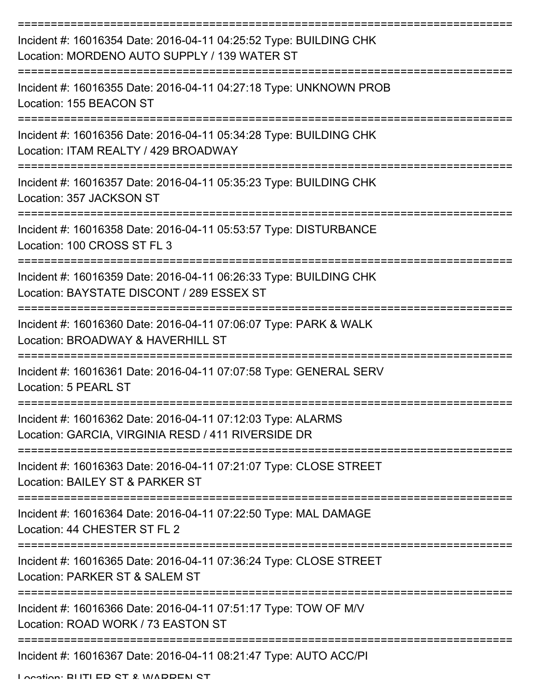| Incident #: 16016354 Date: 2016-04-11 04:25:52 Type: BUILDING CHK<br>Location: MORDENO AUTO SUPPLY / 139 WATER ST                  |
|------------------------------------------------------------------------------------------------------------------------------------|
| Incident #: 16016355 Date: 2016-04-11 04:27:18 Type: UNKNOWN PROB<br>Location: 155 BEACON ST                                       |
| Incident #: 16016356 Date: 2016-04-11 05:34:28 Type: BUILDING CHK<br>Location: ITAM REALTY / 429 BROADWAY                          |
| ================================<br>Incident #: 16016357 Date: 2016-04-11 05:35:23 Type: BUILDING CHK<br>Location: 357 JACKSON ST  |
| Incident #: 16016358 Date: 2016-04-11 05:53:57 Type: DISTURBANCE<br>Location: 100 CROSS ST FL 3                                    |
| :===============<br>Incident #: 16016359 Date: 2016-04-11 06:26:33 Type: BUILDING CHK<br>Location: BAYSTATE DISCONT / 289 ESSEX ST |
| -------------------------<br>Incident #: 16016360 Date: 2016-04-11 07:06:07 Type: PARK & WALK<br>Location: BROADWAY & HAVERHILL ST |
| Incident #: 16016361 Date: 2016-04-11 07:07:58 Type: GENERAL SERV<br>Location: 5 PEARL ST                                          |
| Incident #: 16016362 Date: 2016-04-11 07:12:03 Type: ALARMS<br>Location: GARCIA, VIRGINIA RESD / 411 RIVERSIDE DR                  |
| Incident #: 16016363 Date: 2016-04-11 07:21:07 Type: CLOSE STREET<br>Location: BAILEY ST & PARKER ST                               |
| Incident #: 16016364 Date: 2016-04-11 07:22:50 Type: MAL DAMAGE<br>Location: 44 CHESTER ST FL 2                                    |
| Incident #: 16016365 Date: 2016-04-11 07:36:24 Type: CLOSE STREET<br>Location: PARKER ST & SALEM ST                                |
| Incident #: 16016366 Date: 2016-04-11 07:51:17 Type: TOW OF M/V<br>Location: ROAD WORK / 73 EASTON ST                              |
| Incident #: 16016367 Date: 2016-04-11 08:21:47 Type: AUTO ACC/PI                                                                   |

Location: BLITLED CT & WADDEN CT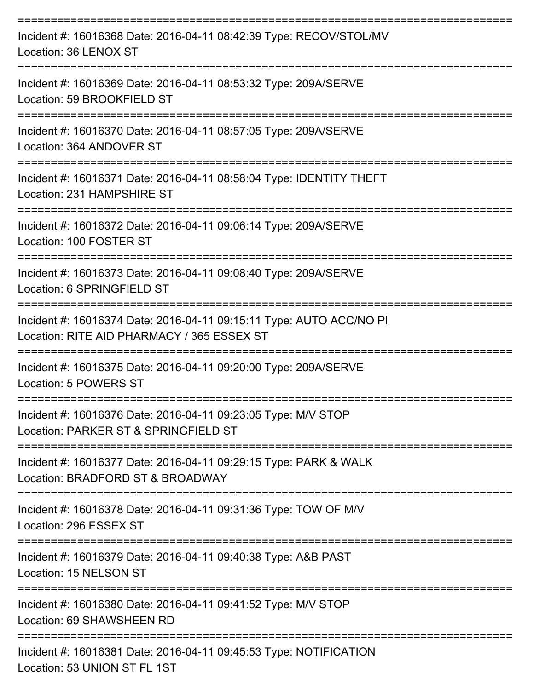| Incident #: 16016368 Date: 2016-04-11 08:42:39 Type: RECOV/STOL/MV<br>Location: 36 LENOX ST                       |
|-------------------------------------------------------------------------------------------------------------------|
| Incident #: 16016369 Date: 2016-04-11 08:53:32 Type: 209A/SERVE<br>Location: 59 BROOKFIELD ST                     |
| Incident #: 16016370 Date: 2016-04-11 08:57:05 Type: 209A/SERVE<br>Location: 364 ANDOVER ST                       |
| Incident #: 16016371 Date: 2016-04-11 08:58:04 Type: IDENTITY THEFT<br>Location: 231 HAMPSHIRE ST                 |
| Incident #: 16016372 Date: 2016-04-11 09:06:14 Type: 209A/SERVE<br>Location: 100 FOSTER ST                        |
| Incident #: 16016373 Date: 2016-04-11 09:08:40 Type: 209A/SERVE<br>Location: 6 SPRINGFIELD ST                     |
| Incident #: 16016374 Date: 2016-04-11 09:15:11 Type: AUTO ACC/NO PI<br>Location: RITE AID PHARMACY / 365 ESSEX ST |
| Incident #: 16016375 Date: 2016-04-11 09:20:00 Type: 209A/SERVE<br>Location: 5 POWERS ST                          |
| Incident #: 16016376 Date: 2016-04-11 09:23:05 Type: M/V STOP<br>Location: PARKER ST & SPRINGFIELD ST             |
| Incident #: 16016377 Date: 2016-04-11 09:29:15 Type: PARK & WALK<br>Location: BRADFORD ST & BROADWAY              |
| Incident #: 16016378 Date: 2016-04-11 09:31:36 Type: TOW OF M/V<br>Location: 296 ESSEX ST                         |
| Incident #: 16016379 Date: 2016-04-11 09:40:38 Type: A&B PAST<br>Location: 15 NELSON ST                           |
| Incident #: 16016380 Date: 2016-04-11 09:41:52 Type: M/V STOP<br>Location: 69 SHAWSHEEN RD                        |
| Incident #: 16016381 Date: 2016-04-11 09:45:53 Type: NOTIFICATION<br>Location: 53 UNION ST FL 1ST                 |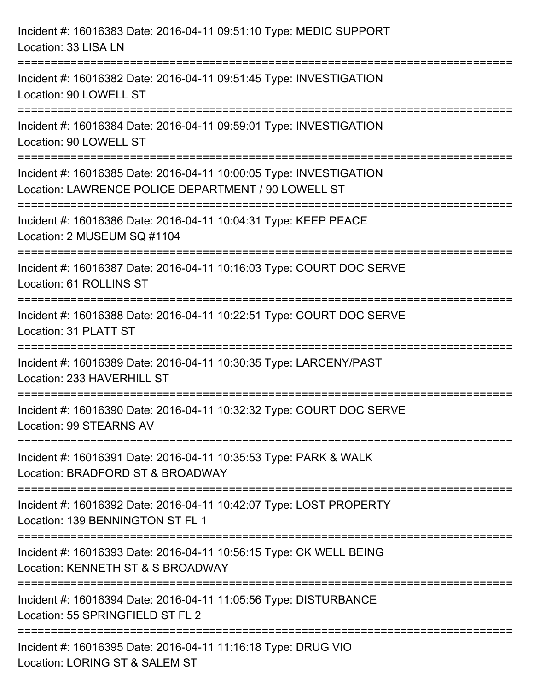| Incident #: 16016383 Date: 2016-04-11 09:51:10 Type: MEDIC SUPPORT<br>Location: 33 LISA LN                                                                                                          |
|-----------------------------------------------------------------------------------------------------------------------------------------------------------------------------------------------------|
| ==================================<br>Incident #: 16016382 Date: 2016-04-11 09:51:45 Type: INVESTIGATION<br>Location: 90 LOWELL ST                                                                  |
| Incident #: 16016384 Date: 2016-04-11 09:59:01 Type: INVESTIGATION<br>Location: 90 LOWELL ST<br>================================                                                                    |
| Incident #: 16016385 Date: 2016-04-11 10:00:05 Type: INVESTIGATION<br>Location: LAWRENCE POLICE DEPARTMENT / 90 LOWELL ST<br>;==================================<br>=============================== |
| Incident #: 16016386 Date: 2016-04-11 10:04:31 Type: KEEP PEACE<br>Location: 2 MUSEUM SQ #1104                                                                                                      |
| Incident #: 16016387 Date: 2016-04-11 10:16:03 Type: COURT DOC SERVE<br>Location: 61 ROLLINS ST                                                                                                     |
| Incident #: 16016388 Date: 2016-04-11 10:22:51 Type: COURT DOC SERVE<br>Location: 31 PLATT ST                                                                                                       |
| Incident #: 16016389 Date: 2016-04-11 10:30:35 Type: LARCENY/PAST<br>Location: 233 HAVERHILL ST                                                                                                     |
| Incident #: 16016390 Date: 2016-04-11 10:32:32 Type: COURT DOC SERVE<br>Location: 99 STEARNS AV                                                                                                     |
| Incident #: 16016391 Date: 2016-04-11 10:35:53 Type: PARK & WALK<br>Location: BRADFORD ST & BROADWAY                                                                                                |
| Incident #: 16016392 Date: 2016-04-11 10:42:07 Type: LOST PROPERTY<br>Location: 139 BENNINGTON ST FL 1                                                                                              |
| Incident #: 16016393 Date: 2016-04-11 10:56:15 Type: CK WELL BEING<br>Location: KENNETH ST & S BROADWAY                                                                                             |
| Incident #: 16016394 Date: 2016-04-11 11:05:56 Type: DISTURBANCE<br>Location: 55 SPRINGFIELD ST FL 2                                                                                                |
| Incident #: 16016395 Date: 2016-04-11 11:16:18 Type: DRUG VIO<br>Location: LORING ST & SALEM ST                                                                                                     |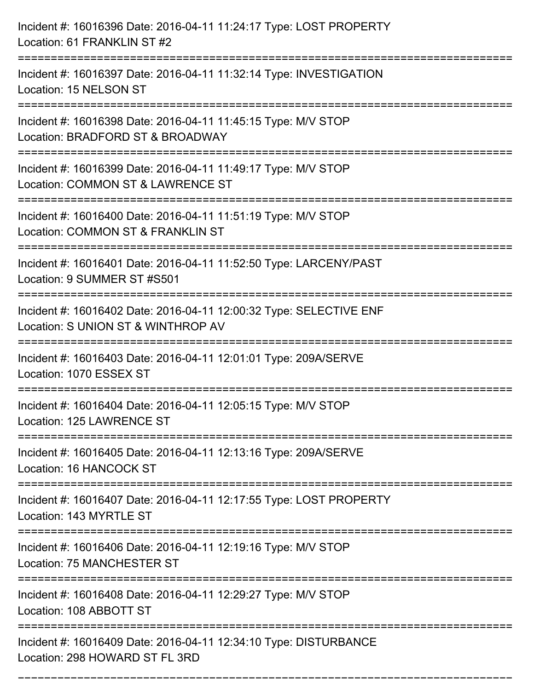| Incident #: 16016396 Date: 2016-04-11 11:24:17 Type: LOST PROPERTY<br>Location: 61 FRANKLIN ST #2                                        |
|------------------------------------------------------------------------------------------------------------------------------------------|
| Incident #: 16016397 Date: 2016-04-11 11:32:14 Type: INVESTIGATION<br>Location: 15 NELSON ST                                             |
| Incident #: 16016398 Date: 2016-04-11 11:45:15 Type: M/V STOP<br>Location: BRADFORD ST & BROADWAY<br>=================================== |
| Incident #: 16016399 Date: 2016-04-11 11:49:17 Type: M/V STOP<br>Location: COMMON ST & LAWRENCE ST                                       |
| Incident #: 16016400 Date: 2016-04-11 11:51:19 Type: M/V STOP<br>Location: COMMON ST & FRANKLIN ST<br>:=========================         |
| Incident #: 16016401 Date: 2016-04-11 11:52:50 Type: LARCENY/PAST<br>Location: 9 SUMMER ST #S501                                         |
| Incident #: 16016402 Date: 2016-04-11 12:00:32 Type: SELECTIVE ENF<br>Location: S UNION ST & WINTHROP AV                                 |
| Incident #: 16016403 Date: 2016-04-11 12:01:01 Type: 209A/SERVE<br>Location: 1070 ESSEX ST                                               |
| Incident #: 16016404 Date: 2016-04-11 12:05:15 Type: M/V STOP<br>Location: 125 LAWRENCE ST                                               |
| Incident #: 16016405 Date: 2016-04-11 12:13:16 Type: 209A/SERVE<br>Location: 16 HANCOCK ST                                               |
| Incident #: 16016407 Date: 2016-04-11 12:17:55 Type: LOST PROPERTY<br>Location: 143 MYRTLE ST                                            |
| Incident #: 16016406 Date: 2016-04-11 12:19:16 Type: M/V STOP<br>Location: 75 MANCHESTER ST                                              |
| ====================================<br>Incident #: 16016408 Date: 2016-04-11 12:29:27 Type: M/V STOP<br>Location: 108 ABBOTT ST         |
| Incident #: 16016409 Date: 2016-04-11 12:34:10 Type: DISTURBANCE<br>Location: 298 HOWARD ST FL 3RD                                       |

===========================================================================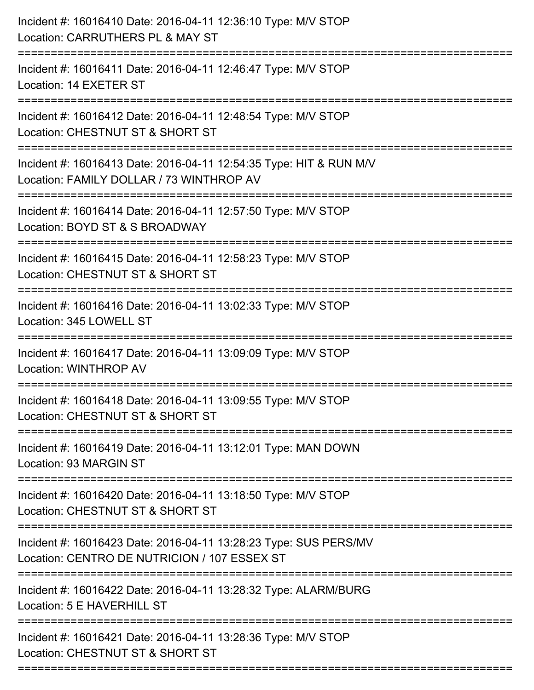| Incident #: 16016410 Date: 2016-04-11 12:36:10 Type: M/V STOP<br>Location: CARRUTHERS PL & MAY ST                                  |
|------------------------------------------------------------------------------------------------------------------------------------|
| :=======================<br>Incident #: 16016411 Date: 2016-04-11 12:46:47 Type: M/V STOP<br>Location: 14 EXETER ST                |
| Incident #: 16016412 Date: 2016-04-11 12:48:54 Type: M/V STOP<br>Location: CHESTNUT ST & SHORT ST<br>============================= |
| Incident #: 16016413 Date: 2016-04-11 12:54:35 Type: HIT & RUN M/V<br>Location: FAMILY DOLLAR / 73 WINTHROP AV                     |
| Incident #: 16016414 Date: 2016-04-11 12:57:50 Type: M/V STOP<br>Location: BOYD ST & S BROADWAY<br>=============================== |
| Incident #: 16016415 Date: 2016-04-11 12:58:23 Type: M/V STOP<br>Location: CHESTNUT ST & SHORT ST                                  |
| Incident #: 16016416 Date: 2016-04-11 13:02:33 Type: M/V STOP<br>Location: 345 LOWELL ST<br>==================================     |
| Incident #: 16016417 Date: 2016-04-11 13:09:09 Type: M/V STOP<br>Location: WINTHROP AV                                             |
| Incident #: 16016418 Date: 2016-04-11 13:09:55 Type: M/V STOP<br>Location: CHESTNUT ST & SHORT ST                                  |
| Incident #: 16016419 Date: 2016-04-11 13:12:01 Type: MAN DOWN<br>Location: 93 MARGIN ST                                            |
| Incident #: 16016420 Date: 2016-04-11 13:18:50 Type: M/V STOP<br>Location: CHESTNUT ST & SHORT ST                                  |
| Incident #: 16016423 Date: 2016-04-11 13:28:23 Type: SUS PERS/MV<br>Location: CENTRO DE NUTRICION / 107 ESSEX ST                   |
| Incident #: 16016422 Date: 2016-04-11 13:28:32 Type: ALARM/BURG<br>Location: 5 E HAVERHILL ST                                      |
| Incident #: 16016421 Date: 2016-04-11 13:28:36 Type: M/V STOP<br>Location: CHESTNUT ST & SHORT ST                                  |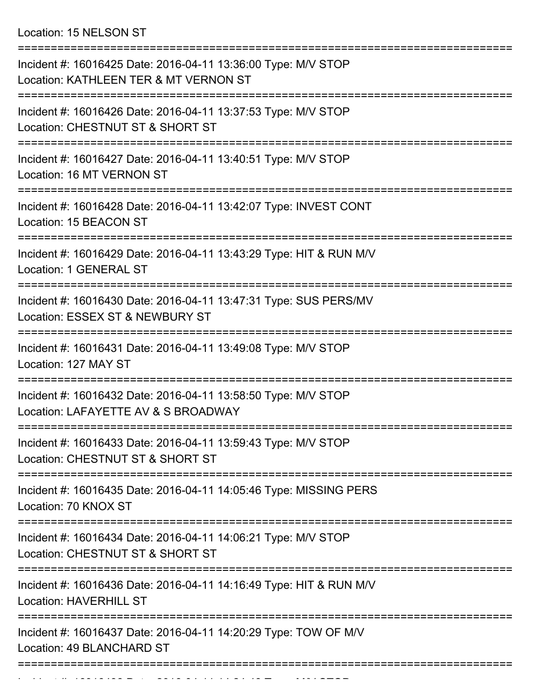Location: 15 NELSON ST

| Incident #: 16016425 Date: 2016-04-11 13:36:00 Type: M/V STOP<br>Location: KATHLEEN TER & MT VERNON ST |
|--------------------------------------------------------------------------------------------------------|
| Incident #: 16016426 Date: 2016-04-11 13:37:53 Type: M/V STOP<br>Location: CHESTNUT ST & SHORT ST      |
| Incident #: 16016427 Date: 2016-04-11 13:40:51 Type: M/V STOP<br>Location: 16 MT VERNON ST             |
| Incident #: 16016428 Date: 2016-04-11 13:42:07 Type: INVEST CONT<br>Location: 15 BEACON ST             |
| Incident #: 16016429 Date: 2016-04-11 13:43:29 Type: HIT & RUN M/V<br>Location: 1 GENERAL ST           |
| Incident #: 16016430 Date: 2016-04-11 13:47:31 Type: SUS PERS/MV<br>Location: ESSEX ST & NEWBURY ST    |
| Incident #: 16016431 Date: 2016-04-11 13:49:08 Type: M/V STOP<br>Location: 127 MAY ST                  |
| Incident #: 16016432 Date: 2016-04-11 13:58:50 Type: M/V STOP<br>Location: LAFAYETTE AV & S BROADWAY   |
| Incident #: 16016433 Date: 2016-04-11 13:59:43 Type: M/V STOP<br>Location: CHESTNUT ST & SHORT ST      |
| Incident #: 16016435 Date: 2016-04-11 14:05:46 Type: MISSING PERS<br>Location: 70 KNOX ST              |
| Incident #: 16016434 Date: 2016-04-11 14:06:21 Type: M/V STOP<br>Location: CHESTNUT ST & SHORT ST      |
| Incident #: 16016436 Date: 2016-04-11 14:16:49 Type: HIT & RUN M/V<br><b>Location: HAVERHILL ST</b>    |
| Incident #: 16016437 Date: 2016-04-11 14:20:29 Type: TOW OF M/V<br>Location: 49 BLANCHARD ST           |
|                                                                                                        |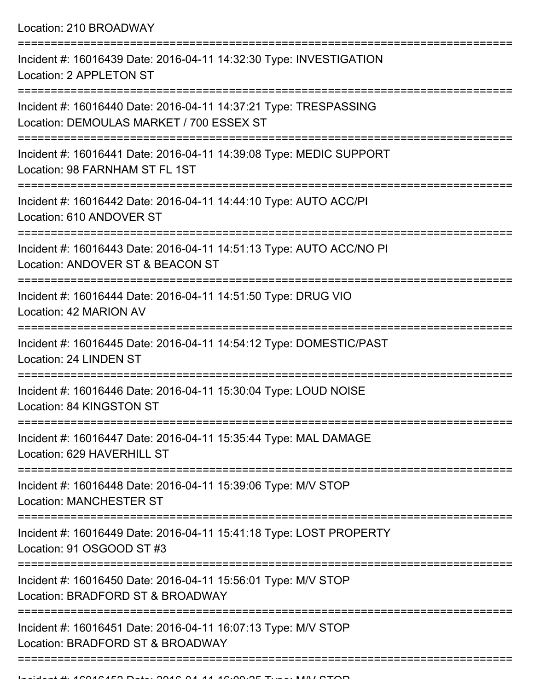Location: 210 BROADWAY

| Incident #: 16016439 Date: 2016-04-11 14:32:30 Type: INVESTIGATION<br>Location: 2 APPLETON ST                                       |
|-------------------------------------------------------------------------------------------------------------------------------------|
| Incident #: 16016440 Date: 2016-04-11 14:37:21 Type: TRESPASSING<br>Location: DEMOULAS MARKET / 700 ESSEX ST                        |
| Incident #: 16016441 Date: 2016-04-11 14:39:08 Type: MEDIC SUPPORT<br>Location: 98 FARNHAM ST FL 1ST                                |
| Incident #: 16016442 Date: 2016-04-11 14:44:10 Type: AUTO ACC/PI<br>Location: 610 ANDOVER ST                                        |
| Incident #: 16016443 Date: 2016-04-11 14:51:13 Type: AUTO ACC/NO PI<br>Location: ANDOVER ST & BEACON ST                             |
| Incident #: 16016444 Date: 2016-04-11 14:51:50 Type: DRUG VIO<br>Location: 42 MARION AV                                             |
| Incident #: 16016445 Date: 2016-04-11 14:54:12 Type: DOMESTIC/PAST<br>Location: 24 LINDEN ST                                        |
| Incident #: 16016446 Date: 2016-04-11 15:30:04 Type: LOUD NOISE<br>Location: 84 KINGSTON ST                                         |
| Incident #: 16016447 Date: 2016-04-11 15:35:44 Type: MAL DAMAGE<br>Location: 629 HAVERHILL ST                                       |
| Incident #: 16016448 Date: 2016-04-11 15:39:06 Type: M/V STOP<br><b>Location: MANCHESTER ST</b>                                     |
| Incident #: 16016449 Date: 2016-04-11 15:41:18 Type: LOST PROPERTY<br>Location: 91 OSGOOD ST #3                                     |
| ==============================<br>Incident #: 16016450 Date: 2016-04-11 15:56:01 Type: M/V STOP<br>Location: BRADFORD ST & BROADWAY |
| Incident #: 16016451 Date: 2016-04-11 16:07:13 Type: M/V STOP<br>Location: BRADFORD ST & BROADWAY                                   |
|                                                                                                                                     |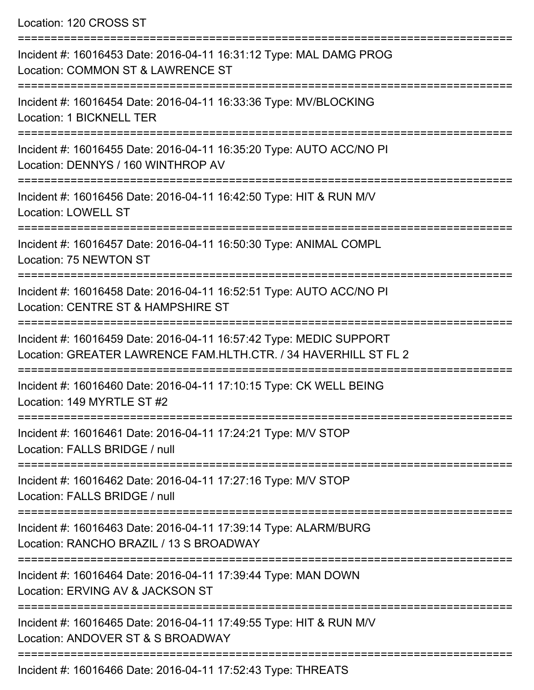Location: 120 CROSS ST

| Incident #: 16016453 Date: 2016-04-11 16:31:12 Type: MAL DAMG PROG<br>Location: COMMON ST & LAWRENCE ST                               |
|---------------------------------------------------------------------------------------------------------------------------------------|
| Incident #: 16016454 Date: 2016-04-11 16:33:36 Type: MV/BLOCKING<br>Location: 1 BICKNELL TER                                          |
| Incident #: 16016455 Date: 2016-04-11 16:35:20 Type: AUTO ACC/NO PI<br>Location: DENNYS / 160 WINTHROP AV                             |
| Incident #: 16016456 Date: 2016-04-11 16:42:50 Type: HIT & RUN M/V<br><b>Location: LOWELL ST</b>                                      |
| Incident #: 16016457 Date: 2016-04-11 16:50:30 Type: ANIMAL COMPL<br>Location: 75 NEWTON ST                                           |
| Incident #: 16016458 Date: 2016-04-11 16:52:51 Type: AUTO ACC/NO PI<br>Location: CENTRE ST & HAMPSHIRE ST<br>===========              |
| Incident #: 16016459 Date: 2016-04-11 16:57:42 Type: MEDIC SUPPORT<br>Location: GREATER LAWRENCE FAM.HLTH.CTR. / 34 HAVERHILL ST FL 2 |
| Incident #: 16016460 Date: 2016-04-11 17:10:15 Type: CK WELL BEING<br>Location: 149 MYRTLE ST #2                                      |
| Incident #: 16016461 Date: 2016-04-11 17:24:21 Type: M/V STOP<br>Location: FALLS BRIDGE / null                                        |
| Incident #: 16016462 Date: 2016-04-11 17:27:16 Type: M/V STOP<br>Location: FALLS BRIDGE / null                                        |
| Incident #: 16016463 Date: 2016-04-11 17:39:14 Type: ALARM/BURG<br>Location: RANCHO BRAZIL / 13 S BROADWAY                            |
| Incident #: 16016464 Date: 2016-04-11 17:39:44 Type: MAN DOWN<br>Location: ERVING AV & JACKSON ST                                     |
| Incident #: 16016465 Date: 2016-04-11 17:49:55 Type: HIT & RUN M/V<br>Location: ANDOVER ST & S BROADWAY                               |
| Incident #: 16016466 Date: 2016-04-11 17:52:43 Type: THREATS                                                                          |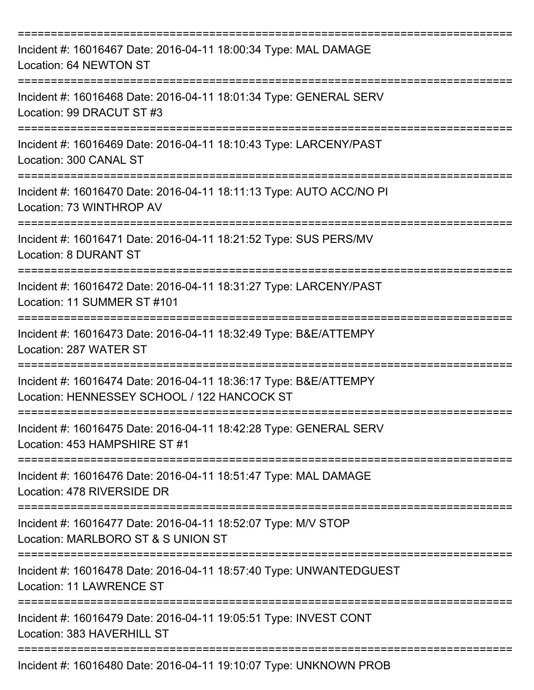| Incident #: 16016467 Date: 2016-04-11 18:00:34 Type: MAL DAMAGE<br>Location: 64 NEWTON ST                       |
|-----------------------------------------------------------------------------------------------------------------|
| Incident #: 16016468 Date: 2016-04-11 18:01:34 Type: GENERAL SERV<br>Location: 99 DRACUT ST #3                  |
| Incident #: 16016469 Date: 2016-04-11 18:10:43 Type: LARCENY/PAST<br>Location: 300 CANAL ST                     |
| Incident #: 16016470 Date: 2016-04-11 18:11:13 Type: AUTO ACC/NO PI<br>Location: 73 WINTHROP AV                 |
| Incident #: 16016471 Date: 2016-04-11 18:21:52 Type: SUS PERS/MV<br><b>Location: 8 DURANT ST</b>                |
| ===========<br>Incident #: 16016472 Date: 2016-04-11 18:31:27 Type: LARCENY/PAST<br>Location: 11 SUMMER ST #101 |
| ---------------<br>Incident #: 16016473 Date: 2016-04-11 18:32:49 Type: B&E/ATTEMPY<br>Location: 287 WATER ST   |
| Incident #: 16016474 Date: 2016-04-11 18:36:17 Type: B&E/ATTEMPY<br>Location: HENNESSEY SCHOOL / 122 HANCOCK ST |
| Incident #: 16016475 Date: 2016-04-11 18:42:28 Type: GENERAL SERV<br>Location: 453 HAMPSHIRE ST #1              |
| Incident #: 16016476 Date: 2016-04-11 18:51:47 Type: MAL DAMAGE<br>Location: 478 RIVERSIDE DR                   |
| Incident #: 16016477 Date: 2016-04-11 18:52:07 Type: M/V STOP<br>Location: MARLBORO ST & S UNION ST             |
| Incident #: 16016478 Date: 2016-04-11 18:57:40 Type: UNWANTEDGUEST<br><b>Location: 11 LAWRENCE ST</b>           |
| Incident #: 16016479 Date: 2016-04-11 19:05:51 Type: INVEST CONT<br>Location: 383 HAVERHILL ST                  |
| Incident #: 16016480 Date: 2016-04-11 19:10:07 Type: UNKNOWN PROB                                               |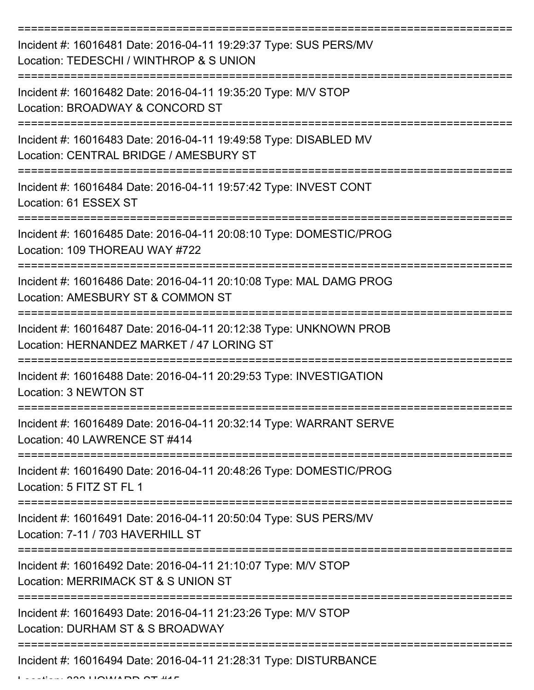| Incident #: 16016481 Date: 2016-04-11 19:29:37 Type: SUS PERS/MV<br>Location: TEDESCHI / WINTHROP & S UNION    |
|----------------------------------------------------------------------------------------------------------------|
| Incident #: 16016482 Date: 2016-04-11 19:35:20 Type: M/V STOP<br>Location: BROADWAY & CONCORD ST               |
| Incident #: 16016483 Date: 2016-04-11 19:49:58 Type: DISABLED MV<br>Location: CENTRAL BRIDGE / AMESBURY ST     |
| Incident #: 16016484 Date: 2016-04-11 19:57:42 Type: INVEST CONT<br>Location: 61 ESSEX ST                      |
| Incident #: 16016485 Date: 2016-04-11 20:08:10 Type: DOMESTIC/PROG<br>Location: 109 THOREAU WAY #722           |
| Incident #: 16016486 Date: 2016-04-11 20:10:08 Type: MAL DAMG PROG<br>Location: AMESBURY ST & COMMON ST        |
| Incident #: 16016487 Date: 2016-04-11 20:12:38 Type: UNKNOWN PROB<br>Location: HERNANDEZ MARKET / 47 LORING ST |
| Incident #: 16016488 Date: 2016-04-11 20:29:53 Type: INVESTIGATION<br>Location: 3 NEWTON ST                    |
| Incident #: 16016489 Date: 2016-04-11 20:32:14 Type: WARRANT SERVE<br>Location: 40 LAWRENCE ST #414            |
| Incident #: 16016490 Date: 2016-04-11 20:48:26 Type: DOMESTIC/PROG<br>Location: 5 FITZ ST FL 1                 |
| Incident #: 16016491 Date: 2016-04-11 20:50:04 Type: SUS PERS/MV<br>Location: 7-11 / 703 HAVERHILL ST          |
| Incident #: 16016492 Date: 2016-04-11 21:10:07 Type: M/V STOP<br>Location: MERRIMACK ST & S UNION ST           |
| Incident #: 16016493 Date: 2016-04-11 21:23:26 Type: M/V STOP<br>Location: DURHAM ST & S BROADWAY              |
| Incident #: 16016494 Date: 2016-04-11 21:28:31 Type: DISTURBANCE                                               |

 $L = L L L L L$  333  $\sigma$  333 HOWARD ST #15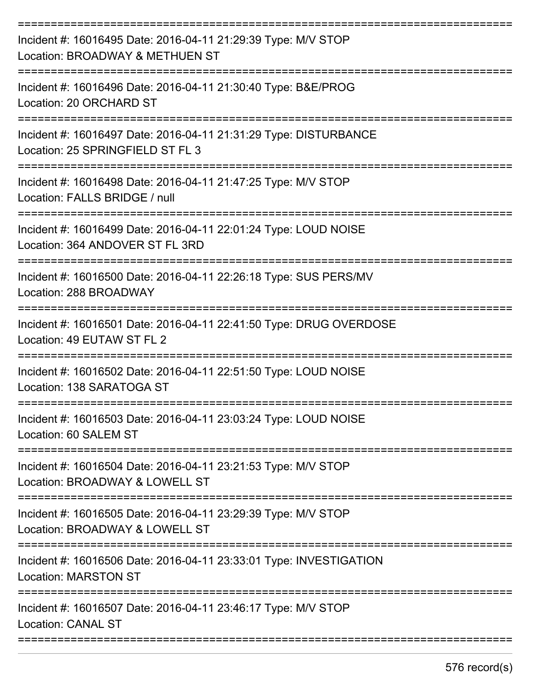| Incident #: 16016495 Date: 2016-04-11 21:29:39 Type: M/V STOP<br>Location: BROADWAY & METHUEN ST     |
|------------------------------------------------------------------------------------------------------|
| Incident #: 16016496 Date: 2016-04-11 21:30:40 Type: B&E/PROG<br>Location: 20 ORCHARD ST             |
| Incident #: 16016497 Date: 2016-04-11 21:31:29 Type: DISTURBANCE<br>Location: 25 SPRINGFIELD ST FL 3 |
| Incident #: 16016498 Date: 2016-04-11 21:47:25 Type: M/V STOP<br>Location: FALLS BRIDGE / null       |
| Incident #: 16016499 Date: 2016-04-11 22:01:24 Type: LOUD NOISE<br>Location: 364 ANDOVER ST FL 3RD   |
| Incident #: 16016500 Date: 2016-04-11 22:26:18 Type: SUS PERS/MV<br>Location: 288 BROADWAY           |
| Incident #: 16016501 Date: 2016-04-11 22:41:50 Type: DRUG OVERDOSE<br>Location: 49 EUTAW ST FL 2     |
| Incident #: 16016502 Date: 2016-04-11 22:51:50 Type: LOUD NOISE<br>Location: 138 SARATOGA ST         |
| Incident #: 16016503 Date: 2016-04-11 23:03:24 Type: LOUD NOISE<br>Location: 60 SALEM ST             |
| Incident #: 16016504 Date: 2016-04-11 23:21:53 Type: M/V STOP<br>Location: BROADWAY & LOWELL ST      |
| Incident #: 16016505 Date: 2016-04-11 23:29:39 Type: M/V STOP<br>Location: BROADWAY & LOWELL ST      |
| Incident #: 16016506 Date: 2016-04-11 23:33:01 Type: INVESTIGATION<br><b>Location: MARSTON ST</b>    |
| Incident #: 16016507 Date: 2016-04-11 23:46:17 Type: M/V STOP<br><b>Location: CANAL ST</b>           |
|                                                                                                      |